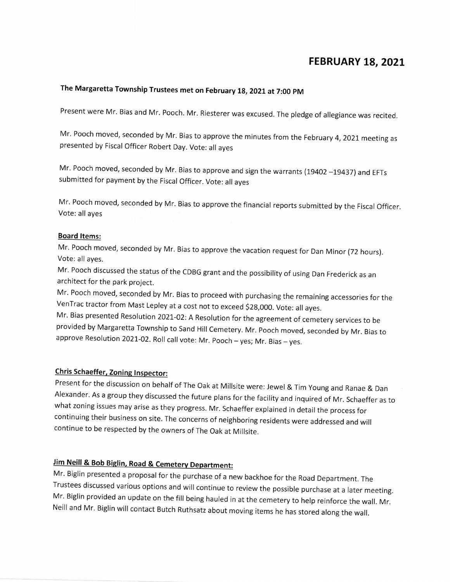### FEBRUARY 18, 2021

# The Margaretta Township Trustees met on February 18, 2021 at 7:00 PM

Present were Mr. Bias and Mr. Pooch. Mr. Riesterer was excused. The pledge of allegiance was recited.

Mr. Pooch moved, seconded by Mr. Bias to approve the minutes from the February 4, 2021 meeting as presented by Fiscal Officer Robert Day. Vote: all ayes

Mr. Pooch moved, seconded by Mr. Bias to approve and sign the warrants (19402 -19437) and EFTs submitted for payment by the Fiscal Officer. Vote: all ayes

Mr. Pooch moved, seconded by Mr. Bias to approve the financial reports submitted by the Fiscal Officer. Vote: aIi ayes

#### **Board Items:**

Mr. Pooch moved, seconded by Mr. Bias to approve the vacation request for Dan Minor (72 hours). Vote: aIl ayes.

Mr. Pooch discussed the status of the CDBG grant and the possibility of using Dan Frederick as an architect for the park project.

Mr. Pooch moved, seconded by Mr. Bias to proceed with purchasing the remaining accessories for the VenTrac tractor from Mast Lepley at a cost not to exceed \$28,000. Vote: all ayes.

Mr. Bias presented Resolution 2021-02: A Resolution for the agreement of cemetery services to be provided by Margaretta Township to Sand Hill Cemetery. Mr. Pooch moved, seconded by Mr. Bias to approve Resolution 2021-02. Roll call vote: Mr. Pooch - yes; Mr. Bias - yes.

### Chris Schaeffer, Zoning Inspector:

Present for the discussion on behalf of The Oak at Millsite were: Jewel & Tim Young and Ranae & Dan Alexander. As a group they discussed the future plans for the facility and inquired of Mr. Schaeffer as to what zoning issues may arise as they progress. Mr. Schaeffer explained in detail the process for continuing their business on site. The concerns of neighboring residents were addressed and will continue to be respected by the owners of The Oak at Millsite.

# Jim Neill & Bob Biglin, Road & Cemetery Department:

Mr. Biglin presented a proposal for the purchase of a new backhoe for the Road Department. The Trustees discussed various options and will continue to review the possible purchase at a later meeting. Mr. Biglin provided an update on the fill being hauled in at the cemetery to help reinforce the wall. Mr. Neill and Mr. Biglin will contact Butch Ruthsatz about moving items he has stored along the wall.